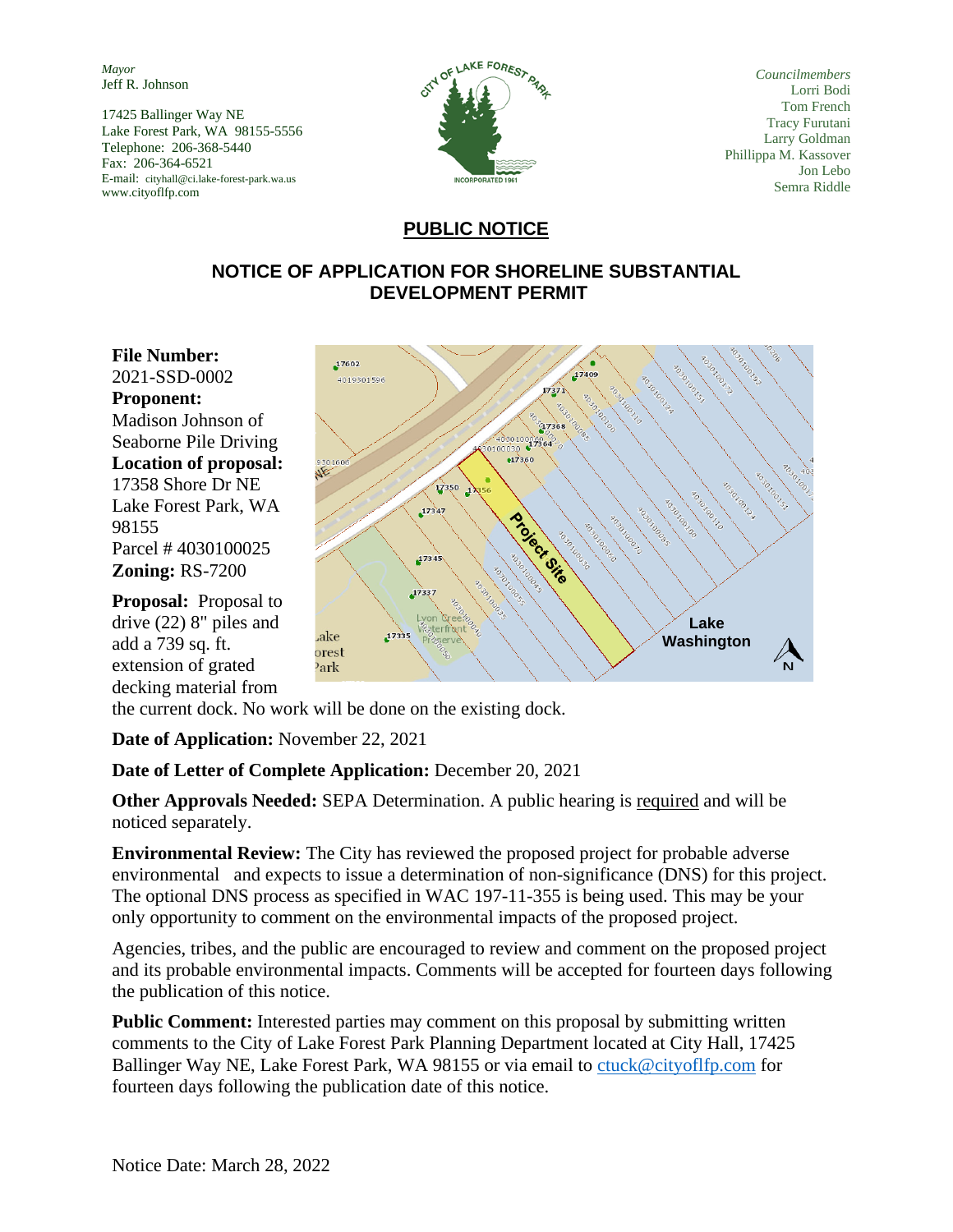*Mayor* Jeff R. Johnson

17425 Ballinger Way NE Lake Forest Park, WA 98155-5556 Telephone: 206-368-5440 Fax: 206-364-6521 E-mail: cityhall@ci.lake-forest-park.wa.us www.cityoflfp.com



*Councilmembers* Lorri Bodi Tom French Tracy Furutani Larry Goldman Phillippa M. Kassover Jon Lebo Semra Riddle

## **PUBLIC NOTICE**

## **NOTICE OF APPLICATION FOR SHORELINE SUBSTANTIAL DEVELOPMENT PERMIT**

**File Number:**  2021-SSD-0002 **Proponent:**  Madison Johnson of Seaborne Pile Driving **Location of proposal:**  17358 Shore Dr NE Lake Forest Park, WA 98155 Parcel # 4030100025 **Zoning:** RS-7200

**Proposal:** Proposal to drive (22) 8" piles and add a 739 sq. ft. extension of grated decking material from



the current dock. No work will be done on the existing dock.

**Date of Application:** November 22, 2021

**Date of Letter of Complete Application:** December 20, 2021

**Other Approvals Needed:** SEPA Determination. A public hearing is required and will be noticed separately.

**Environmental Review:** The City has reviewed the proposed project for probable adverse environmental and expects to issue a determination of non-significance (DNS) for this project. The optional DNS process as specified in WAC 197-11-355 is being used. This may be your only opportunity to comment on the environmental impacts of the proposed project.

Agencies, tribes, and the public are encouraged to review and comment on the proposed project and its probable environmental impacts. Comments will be accepted for fourteen days following the publication of this notice.

**Public Comment:** Interested parties may comment on this proposal by submitting written comments to the City of Lake Forest Park Planning Department located at City Hall, 17425 Ballinger Way NE, Lake Forest Park, WA 98155 or via email to [ctuck@cityoflfp.com](mailto:ctuck@cityoflfp.com) for fourteen days following the publication date of this notice.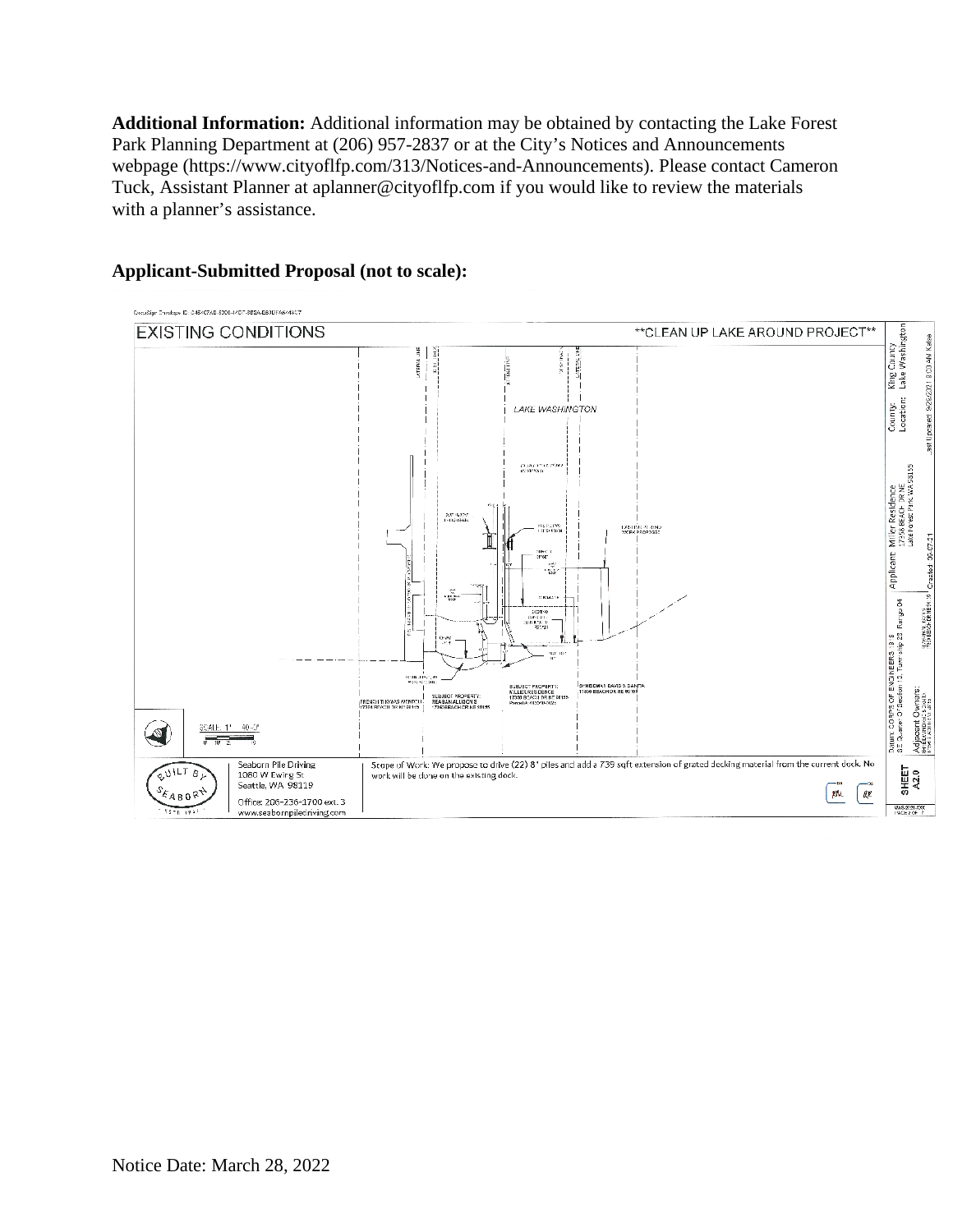**Additional Information:** Additional information may be obtained by contacting the Lake Forest Park Planning Department at (206) 957-2837 or at the City's Notices and Announcements webpage (https://www.cityoflfp.com/313/Notices-and-Announcements). Please contact Cameron Tuck, Assistant Planner at aplanner@cityoflfp.com if you would like to review the materials with a planner's assistance.



## **Applicant-Submitted Proposal (not to scale):**